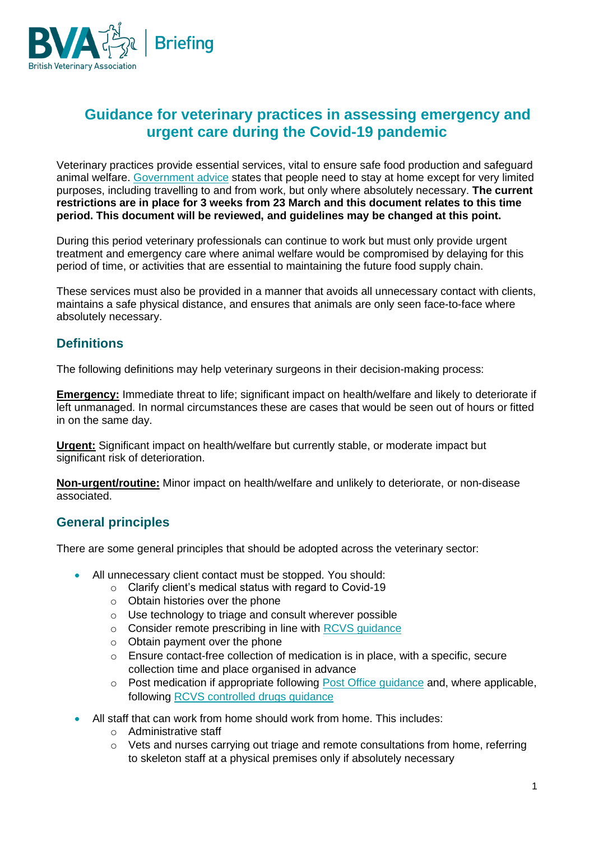

# **Guidance for veterinary practices in assessing emergency and urgent care during the Covid-19 pandemic**

Veterinary practices provide essential services, vital to ensure safe food production and safeguard animal welfare. [Government advice](https://www.gov.uk/government/publications/full-guidance-on-staying-at-home-and-away-from-others) states that people need to stay at home except for very limited purposes, including travelling to and from work, but only where absolutely necessary. **The current restrictions are in place for 3 weeks from 23 March and this document relates to this time period. This document will be reviewed, and guidelines may be changed at this point.**

During this period veterinary professionals can continue to work but must only provide urgent treatment and emergency care where animal welfare would be compromised by delaying for this period of time, or activities that are essential to maintaining the future food supply chain.

These services must also be provided in a manner that avoids all unnecessary contact with clients, maintains a safe physical distance, and ensures that animals are only seen face-to-face where absolutely necessary.

# **Definitions**

The following definitions may help veterinary surgeons in their decision-making process:

**Emergency:** Immediate threat to life; significant impact on health/welfare and likely to deteriorate if left unmanaged. In normal circumstances these are cases that would be seen out of hours or fitted in on the same day.

**Urgent:** Significant impact on health/welfare but currently stable, or moderate impact but significant risk of deterioration.

**Non-urgent/routine:** Minor impact on health/welfare and unlikely to deteriorate, or non-disease associated.

# **General principles**

There are some general principles that should be adopted across the veterinary sector:

- All unnecessary client contact must be stopped. You should:
	- o Clarify client's medical status with regard to Covid-19
	- o Obtain histories over the phone
	- o Use technology to triage and consult wherever possible
	- o Consider remote prescribing in line with [RCVS guidance](https://www.rcvs.org.uk/setting-standards/advice-and-guidance/coronavirus-covid-19/)
	- $\circ$  Obtain payment over the phone
	- $\circ$  Ensure contact-free collection of medication is in place, with a specific, secure collection time and place organised in advance
	- o Post medication if appropriate following [Post Office guidance](https://www.postoffice.co.uk/dam/jcr:f06f4f90-ba0b-416b-af4c-a22aab0a40ce/Prohibited-and-restricted-items.pdf) and, where applicable, following [RCVS controlled drugs guidance](https://www.rcvs.org.uk/news-and-views/publications/controlled-drugs-guidance/)
- All staff that can work from home should work from home. This includes:
	- o Administrative staff
	- $\circ$  Vets and nurses carrying out triage and remote consultations from home, referring to skeleton staff at a physical premises only if absolutely necessary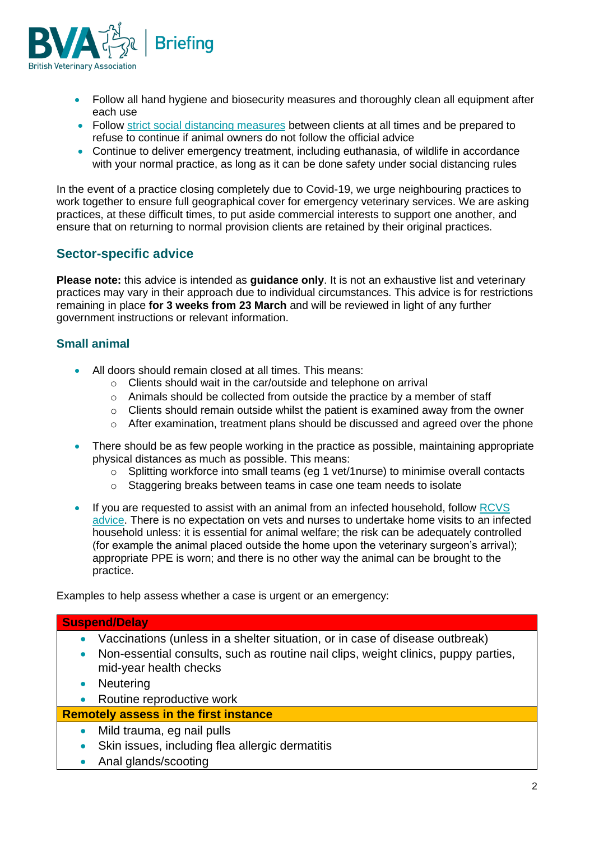

- Follow all hand hygiene and biosecurity measures and thoroughly clean all equipment after each use
- Follow [strict social distancing measures](https://www.gov.uk/government/publications/covid-19-guidance-on-social-distancing-and-for-vulnerable-people/guidance-on-social-distancing-for-everyone-in-the-uk-and-protecting-older-people-and-vulnerable-adults) between clients at all times and be prepared to refuse to continue if animal owners do not follow the official advice
- Continue to deliver emergency treatment, including euthanasia, of wildlife in accordance with your normal practice, as long as it can be done safety under social distancing rules

In the event of a practice closing completely due to Covid-19, we urge neighbouring practices to work together to ensure full geographical cover for emergency veterinary services. We are asking practices, at these difficult times, to put aside commercial interests to support one another, and ensure that on returning to normal provision clients are retained by their original practices.

# **Sector-specific advice**

**Please note:** this advice is intended as **guidance only**. It is not an exhaustive list and veterinary practices may vary in their approach due to individual circumstances. This advice is for restrictions remaining in place **for 3 weeks from 23 March** and will be reviewed in light of any further government instructions or relevant information.

# **Small animal**

- All doors should remain closed at all times. This means:
	- o Clients should wait in the car/outside and telephone on arrival
	- $\circ$  Animals should be collected from outside the practice by a member of staff
	- o Clients should remain outside whilst the patient is examined away from the owner
	- $\circ$  After examination, treatment plans should be discussed and agreed over the phone
- There should be as few people working in the practice as possible, maintaining appropriate physical distances as much as possible. This means:
	- o Splitting workforce into small teams (eg 1 vet/1nurse) to minimise overall contacts
	- o Staggering breaks between teams in case one team needs to isolate
- If you are requested to assist with an animal from an infected household, follow RCVS [advice.](https://www.rcvs.org.uk/setting-standards/advice-and-guidance/coronavirus-covid-19/) There is no expectation on vets and nurses to undertake home visits to an infected household unless: it is essential for animal welfare; the risk can be adequately controlled (for example the animal placed outside the home upon the veterinary surgeon's arrival); appropriate PPE is worn; and there is no other way the animal can be brought to the practice.

Examples to help assess whether a case is urgent or an emergency:

#### **Suspend/Delay**

- Vaccinations (unless in a shelter situation, or in case of disease outbreak)
- Non-essential consults, such as routine nail clips, weight clinics, puppy parties, mid-year health checks
- Neutering
- Routine reproductive work

## **Remotely assess in the first instance**

- Mild trauma, eg nail pulls
- Skin issues, including flea allergic dermatitis
- Anal glands/scooting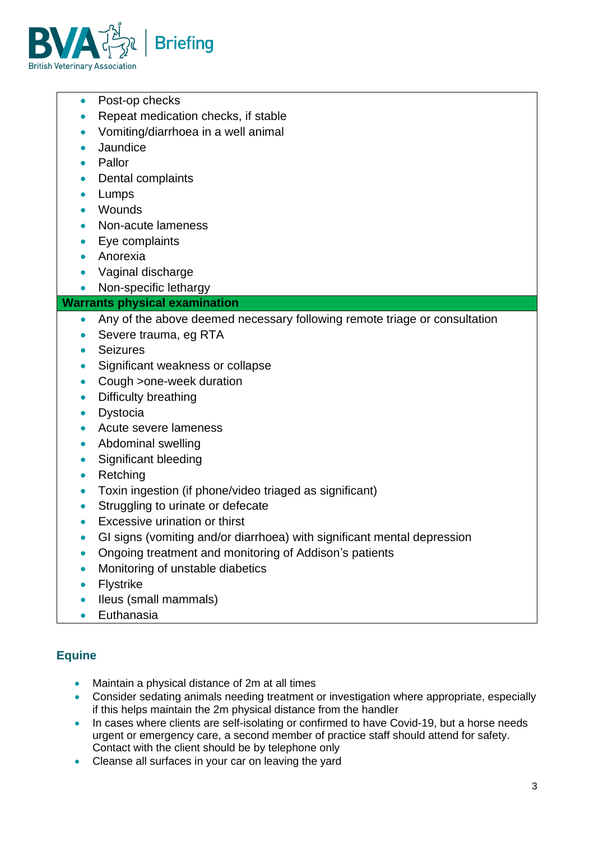

- Post-op checks
- Repeat medication checks, if stable
- Vomiting/diarrhoea in a well animal
- **Jaundice**
- Pallor
- Dental complaints
- **Lumps**
- Wounds
- Non-acute lameness
- Eye complaints
- Anorexia
- Vaginal discharge
- Non-specific lethargy
- **Warrants physical examination**
	- Any of the above deemed necessary following remote triage or consultation
	- Severe trauma, eg RTA
	- Seizures
	- Significant weakness or collapse
	- Cough > one-week duration
	- Difficulty breathing
	- Dystocia
	- Acute severe lameness
	- Abdominal swelling
	- Significant bleeding
	- Retching
	- Toxin ingestion (if phone/video triaged as significant)
	- Struggling to urinate or defecate
	- Excessive urination or thirst
	- GI signs (vomiting and/or diarrhoea) with significant mental depression
	- Ongoing treatment and monitoring of Addison's patients
	- Monitoring of unstable diabetics
	- **Flystrike**
	- Ileus (small mammals)
	- Euthanasia

## **Equine**

- Maintain a physical distance of 2m at all times
- Consider sedating animals needing treatment or investigation where appropriate, especially if this helps maintain the 2m physical distance from the handler
- In cases where clients are self-isolating or confirmed to have Covid-19, but a horse needs urgent or emergency care, a second member of practice staff should attend for safety. Contact with the client should be by telephone only
- Cleanse all surfaces in your car on leaving the yard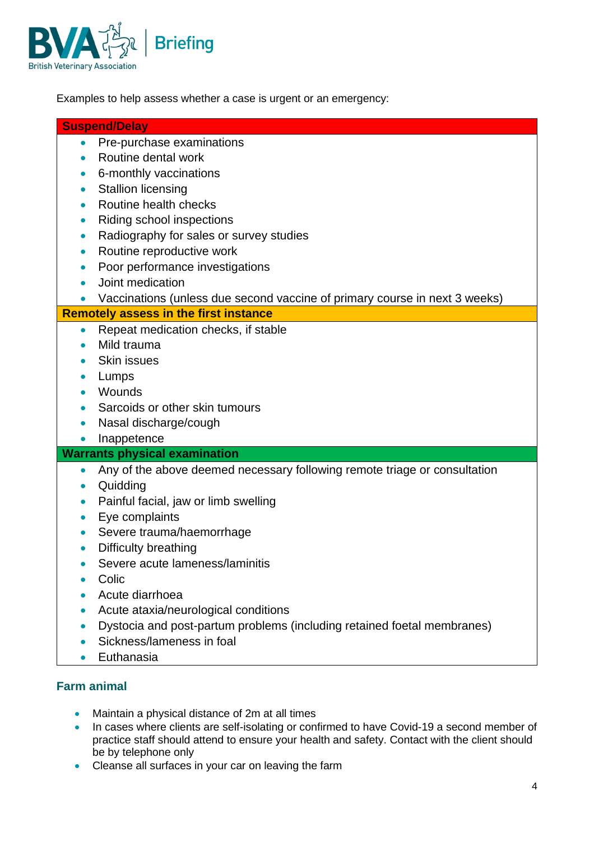

Examples to help assess whether a case is urgent or an emergency:

#### **Suspend/Delay**

- Pre-purchase examinations
- Routine dental work
- 6-monthly vaccinations
- Stallion licensing
- Routine health checks
- Riding school inspections
- Radiography for sales or survey studies
- Routine reproductive work
- Poor performance investigations
- Joint medication
- Vaccinations (unless due second vaccine of primary course in next 3 weeks)

#### **Remotely assess in the first instance**

- Repeat medication checks, if stable
- Mild trauma
- Skin issues
- Lumps
- Wounds
- Sarcoids or other skin tumours
- Nasal discharge/cough
- Inappetence

#### **Warrants physical examination**

- Any of the above deemed necessary following remote triage or consultation
- Quidding
- Painful facial, jaw or limb swelling
- Eye complaints
- Severe trauma/haemorrhage
- Difficulty breathing
- Severe acute lameness/laminitis
- Colic
- Acute diarrhoea
- Acute ataxia/neurological conditions
- Dystocia and post-partum problems (including retained foetal membranes)
- Sickness/lameness in foal
- Euthanasia

## **Farm animal**

- Maintain a physical distance of 2m at all times
- In cases where clients are self-isolating or confirmed to have Covid-19 a second member of practice staff should attend to ensure your health and safety. Contact with the client should be by telephone only
- Cleanse all surfaces in your car on leaving the farm